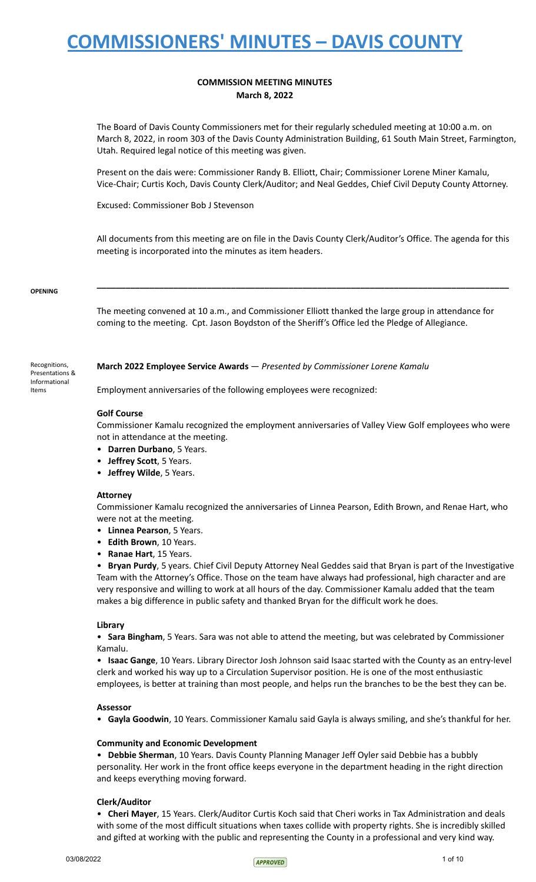### **COMMISSION MEETING MINUTES March 8, 2022**

The Board of Davis County Commissioners met for their regularly scheduled meeting at 10:00 a.m. on March 8, 2022, in room 303 of the Davis County Administration Building, 61 South Main Street, Farmington, Utah. Required legal notice of this meeting was given.

Present on the dais were: Commissioner Randy B. Elliott, Chair; Commissioner Lorene Miner Kamalu, Vice-Chair; Curtis Koch, Davis County Clerk/Auditor; and Neal Geddes, Chief Civil Deputy County Attorney.

Excused: Commissioner Bob J Stevenson

All documents from this meeting are on file in the Davis County Clerk/Auditor's Office. The agenda for this meeting is incorporated into the minutes as item headers.

**\_\_\_\_\_\_\_\_\_\_\_\_\_\_\_\_\_\_\_\_\_\_\_\_\_\_\_\_\_\_\_\_\_\_\_\_\_\_\_\_\_\_\_\_\_\_\_\_\_\_\_\_\_\_\_\_\_\_\_\_\_\_\_\_\_\_\_\_\_\_\_\_\_\_\_\_\_\_\_\_\_\_\_\_\_\_**

#### **OPENING**

Recognitions, Presentations & Informational Items

The meeting convened at 10 a.m., and Commissioner Elliott thanked the large group in attendance for coming to the meeting. Cpt. Jason Boydston of the Sheriff's Office led the Pledge of Allegiance.

### **March 2022 Employee Service Awards** — *Presented by Commissioner Lorene Kamalu*

Employment anniversaries of the following employees were recognized:

### **Golf Course**

Commissioner Kamalu recognized the employment anniversaries of Valley View Golf employees who were not in attendance at the meeting.

- **Darren Durbano**, 5 Years.
- **Jeffrey Scott**, 5 Years.
- **Jeffrey Wilde**, 5 Years.

#### **Attorney**

Commissioner Kamalu recognized the anniversaries of Linnea Pearson, Edith Brown, and Renae Hart, who were not at the meeting.

- **Linnea Pearson**, 5 Years.
- **Edith Brown**, 10 Years.
- **Ranae Hart**, 15 Years.

• **Bryan Purdy**, 5 years. Chief Civil Deputy Attorney Neal Geddes said that Bryan is part of the Investigative Team with the Attorney's Office. Those on the team have always had professional, high character and are very responsive and willing to work at all hours of the day. Commissioner Kamalu added that the team makes a big difference in public safety and thanked Bryan for the difficult work he does.

#### **Library**

• **Sara Bingham**, 5 Years. Sara was not able to attend the meeting, but was celebrated by Commissioner Kamalu.

• **Isaac Gange**, 10 Years. Library Director Josh Johnson said Isaac started with the County as an entry-level clerk and worked his way up to a Circulation Supervisor position. He is one of the most enthusiastic employees, is better at training than most people, and helps run the branches to be the best they can be.

#### **Assessor**

• **Gayla Goodwin**, 10 Years. Commissioner Kamalu said Gayla is always smiling, and she's thankful for her.

#### **Community and Economic Development**

• **Debbie Sherman**, 10 Years. Davis County Planning Manager Jeff Oyler said Debbie has a bubbly personality. Her work in the front office keeps everyone in the department heading in the right direction and keeps everything moving forward.

#### **Clerk/Auditor**

• **Cheri Mayer**, 15 Years. Clerk/Auditor Curtis Koch said that Cheri works in Tax Administration and deals with some of the most difficult situations when taxes collide with property rights. She is incredibly skilled and gifted at working with the public and representing the County in a professional and very kind way.

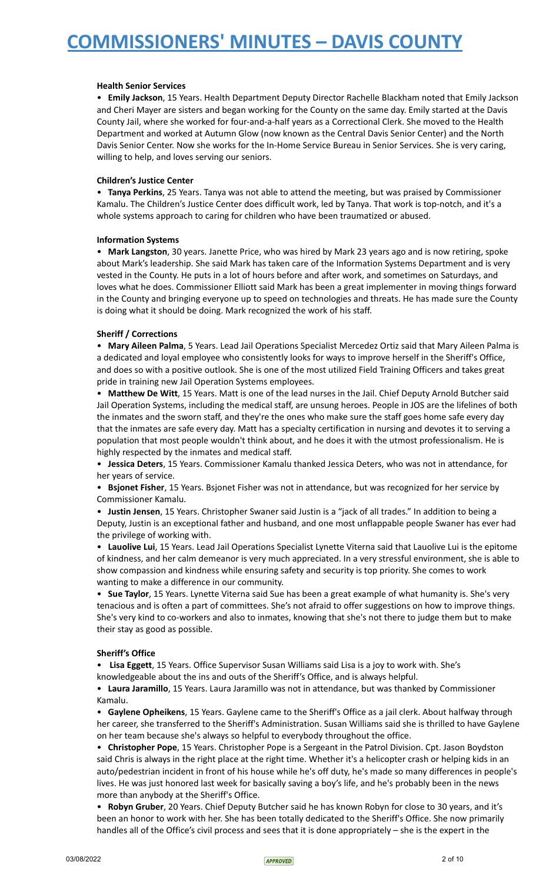### **Health Senior Services**

• **Emily Jackson**, 15 Years. Health Department Deputy Director Rachelle Blackham noted that Emily Jackson and Cheri Mayer are sisters and began working for the County on the same day. Emily started at the Davis County Jail, where she worked for four-and-a-half years as a Correctional Clerk. She moved to the Health Department and worked at Autumn Glow (now known as the Central Davis Senior Center) and the North Davis Senior Center. Now she works for the In-Home Service Bureau in Senior Services. She is very caring, willing to help, and loves serving our seniors.

### **Children's Justice Center**

• **Tanya Perkins**, 25 Years. Tanya was not able to attend the meeting, but was praised by Commissioner Kamalu. The Children's Justice Center does difficult work, led by Tanya. That work is top-notch, and it's a whole systems approach to caring for children who have been traumatized or abused.

### **Information Systems**

• **Mark Langston**, 30 years. Janette Price, who was hired by Mark 23 years ago and is now retiring, spoke about Mark's leadership. She said Mark has taken care of the Information Systems Department and is very vested in the County. He puts in a lot of hours before and after work, and sometimes on Saturdays, and loves what he does. Commissioner Elliott said Mark has been a great implementer in moving things forward in the County and bringing everyone up to speed on technologies and threats. He has made sure the County is doing what it should be doing. Mark recognized the work of his staff.

### **Sheriff / Corrections**

• **Mary Aileen Palma**, 5 Years. Lead Jail Operations Specialist Mercedez Ortiz said that Mary Aileen Palma is a dedicated and loyal employee who consistently looks for ways to improve herself in the Sheriff's Office, and does so with a positive outlook. She is one of the most utilized Field Training Officers and takes great pride in training new Jail Operation Systems employees.

• **Matthew De Witt**, 15 Years. Matt is one of the lead nurses in the Jail. Chief Deputy Arnold Butcher said Jail Operation Systems, including the medical staff, are unsung heroes. People in JOS are the lifelines of both the inmates and the sworn staff, and they're the ones who make sure the staff goes home safe every day that the inmates are safe every day. Matt has a specialty certification in nursing and devotes it to serving a population that most people wouldn't think about, and he does it with the utmost professionalism. He is highly respected by the inmates and medical staff.

• **Jessica Deters**, 15 Years. Commissioner Kamalu thanked Jessica Deters, who was not in attendance, for her years of service.

• **Bsjonet Fisher**, 15 Years. Bsjonet Fisher was not in attendance, but was recognized for her service by Commissioner Kamalu.

• **Justin Jensen**, 15 Years. Christopher Swaner said Justin is a "jack of all trades." In addition to being a Deputy, Justin is an exceptional father and husband, and one most unflappable people Swaner has ever had the privilege of working with.

• **Lauolive Lui**, 15 Years. Lead Jail Operations Specialist Lynette Viterna said that Lauolive Lui is the epitome of kindness, and her calm demeanor is very much appreciated. In a very stressful environment, she is able to show compassion and kindness while ensuring safety and security is top priority. She comes to work wanting to make a difference in our community.

• **Sue Taylor**, 15 Years. Lynette Viterna said Sue has been a great example of what humanity is. She's very tenacious and is often a part of committees. She's not afraid to offer suggestions on how to improve things. She's very kind to co-workers and also to inmates, knowing that she's not there to judge them but to make their stay as good as possible.

### **Sheriff's Office**

• **Lisa Eggett**, 15 Years. Office Supervisor Susan Williams said Lisa is a joy to work with. She's

knowledgeable about the ins and outs of the Sheriff's Office, and is always helpful.

• **Laura Jaramillo**, 15 Years. Laura Jaramillo was not in attendance, but was thanked by Commissioner Kamalu.

• **Gaylene Opheikens**, 15 Years. Gaylene came to the Sheriff's Office as a jail clerk. About halfway through her career, she transferred to the Sheriff's Administration. Susan Williams said she is thrilled to have Gaylene on her team because she's always so helpful to everybody throughout the office.

• **Christopher Pope**, 15 Years. Christopher Pope is a Sergeant in the Patrol Division. Cpt. Jason Boydston said Chris is always in the right place at the right time. Whether it's a helicopter crash or helping kids in an auto/pedestrian incident in front of his house while he's off duty, he's made so many differences in people's lives. He was just honored last week for basically saving a boy's life, and he's probably been in the news more than anybody at the Sheriff's Office.

• **Robyn Gruber**, 20 Years. Chief Deputy Butcher said he has known Robyn for close to 30 years, and it's been an honor to work with her. She has been totally dedicated to the Sheriff's Office. She now primarily handles all of the Office's civil process and sees that it is done appropriately – she is the expert in the

 $03/08/2022$  2 of 10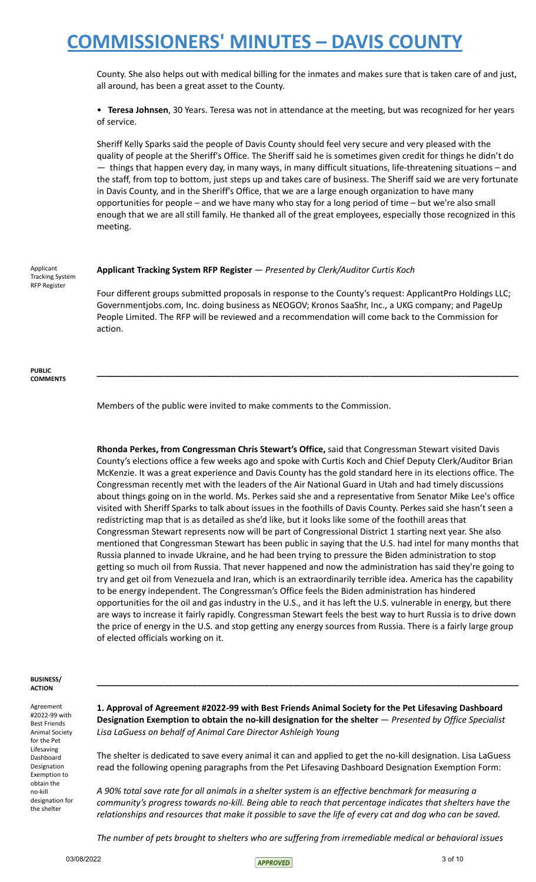County. She also helps out with medical billing for the inmates and makes sure that is taken care of and just, all around, has been a great asset to the County.

• **Teresa Johnsen**, 30 Years. Teresa was not in attendance at the meeting, but was recognized for her years of service.

Sheriff Kelly Sparks said the people of Davis County should feel very secure and very pleased with the quality of people at the Sheriff's Office. The Sheriff said he is sometimes given credit for things he didn't do — things that happen every day, in many ways, in many difficult situations, life-threatening situations – and the staff, from top to bottom, just steps up and takes care of business. The Sheriff said we are very fortunate in Davis County, and in the Sheriff's Office, that we are a large enough organization to have many opportunities for people – and we have many who stay for a long period of time – but we're also small enough that we are all still family. He thanked all of the great employees, especially those recognized in this meeting.

Applicant Tracking System RFP Register

#### **Applicant Tracking System RFP Register** — *Presented by Clerk/Auditor Curtis Koch*

Four different groups submitted proposals in response to the County's request: ApplicantPro Holdings LLC; Governmentjobs.com, Inc. doing business as NEOGOV; Kronos SaaShr, Inc., a UKG company; and PageUp People Limited. The RFP will be reviewed and a recommendation will come back to the Commission for action.

**\_\_\_\_\_\_\_\_\_\_\_\_\_\_\_\_\_\_\_\_\_\_\_\_\_\_\_\_\_\_\_\_\_\_\_\_\_\_\_\_\_\_\_\_\_\_\_\_\_\_\_\_\_\_\_\_\_\_\_\_\_\_\_\_\_\_\_\_\_\_\_\_\_\_\_\_\_\_\_\_\_\_\_\_\_\_\_\_**

**PUBLIC COMMENTS**

Members of the public were invited to make comments to the Commission.

**Rhonda Perkes, from Congressman Chris Stewart's Office,** said that Congressman Stewart visited Davis County's elections office a few weeks ago and spoke with Curtis Koch and Chief Deputy Clerk/Auditor Brian McKenzie. It was a great experience and Davis County has the gold standard here in its elections office. The Congressman recently met with the leaders of the Air National Guard in Utah and had timely discussions about things going on in the world. Ms. Perkes said she and a representative from Senator Mike Lee's office visited with Sheriff Sparks to talk about issues in the foothills of Davis County. Perkes said she hasn't seen a redistricting map that is as detailed as she'd like, but it looks like some of the foothill areas that Congressman Stewart represents now will be part of Congressional District 1 starting next year. She also mentioned that Congressman Stewart has been public in saying that the U.S. had intel for many months that Russia planned to invade Ukraine, and he had been trying to pressure the Biden administration to stop getting so much oil from Russia. That never happened and now the administration has said they're going to try and get oil from Venezuela and Iran, which is an extraordinarily terrible idea. America has the capability to be energy independent. The Congressman's Office feels the Biden administration has hindered opportunities for the oil and gas industry in the U.S., and it has left the U.S. vulnerable in energy, but there are ways to increase it fairly rapidly. Congressman Stewart feels the best way to hurt Russia is to drive down the price of energy in the U.S. and stop getting any energy sources from Russia. There is a fairly large group of elected officials working on it.

#### **BUSINESS/ ACTION**

Agreement #2022-99 with Best Friends Animal Society for the Pet Lifesaving Dashboard Designation Exemption to obtain the no-kill designation for the shelter

**1. Approval of Agreement #2022-99 with Best Friends Animal Society for the Pet Lifesaving Dashboard Designation Exemption to obtain the no-kill designation for the shelter** — *Presented by Office Specialist Lisa LaGuess on behalf of Animal Care Director Ashleigh Young*

**\_\_\_\_\_\_\_\_\_\_\_\_\_\_\_\_\_\_\_\_\_\_\_\_\_\_\_\_\_\_\_\_\_\_\_\_\_\_\_\_\_\_\_\_\_\_\_\_\_\_\_\_\_\_\_\_\_\_\_\_\_\_\_\_\_\_\_\_\_\_\_\_\_\_\_\_\_\_\_\_\_\_\_\_\_\_\_\_**

The shelter is dedicated to save every animal it can and applied to get the no-kill designation. Lisa LaGuess read the following opening paragraphs from the Pet Lifesaving Dashboard Designation Exemption Form:

A 90% total save rate for all animals in a shelter system is an effective benchmark for measuring a *community's progress towards no-kill. Being able to reach that percentage indicates that shelters have the* relationships and resources that make it possible to save the life of every cat and dog who can be saved.

*The number of pets brought to shelters who are suffering from irremediable medical or behavioral issues*

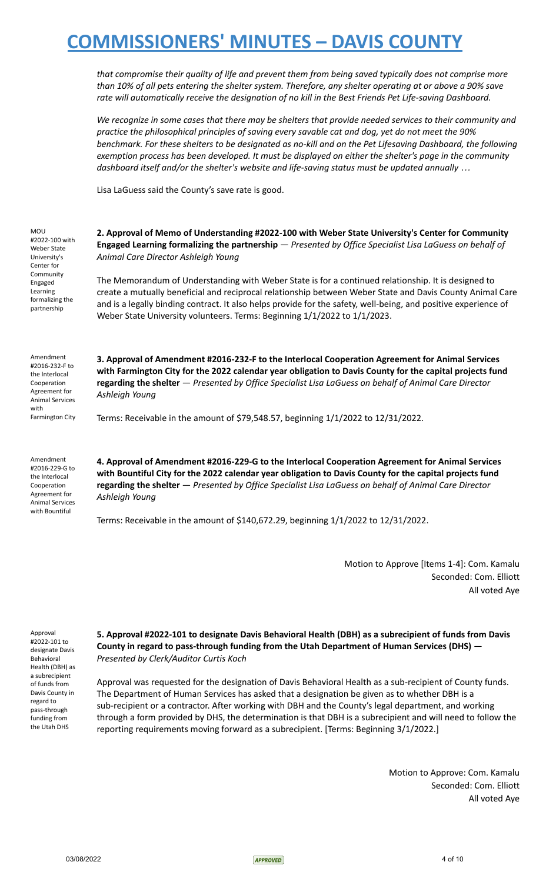*that compromise their quality of life and prevent them from being saved typically does not comprise more* than 10% of all pets entering the shelter system. Therefore, any shelter operating at or above a 90% save *rate will automatically receive the designation of no kill in the Best Friends Pet Life-saving Dashboard.*

We recognize in some cases that there may be shelters that provide needed services to their community and *practice the philosophical principles of saving every savable cat and dog, yet do not meet the 90%* benchmark. For these shelters to be designated as no-kill and on the Pet Lifesaving Dashboard, the following *exemption process has been developed. It must be displayed on either the shelter's page in the community dashboard itself and/or the shelter's website and life-saving status must be updated annually …*

Lisa LaGuess said the County's save rate is good.

MOU #2022-100 with Weber State University's Center for **Community** Engaged Learning formalizing the partnership

Amendment #2016-232-F to the Interlocal Cooperation Agreement for Animal Services with Farmington City **2. Approval of Memo of Understanding #2022-100 with Weber State University's Center for Community Engaged Learning formalizing the partnership** — *Presented by Office Specialist Lisa LaGuess on behalf of Animal Care Director Ashleigh Young*

The Memorandum of Understanding with Weber State is for a continued relationship. It is designed to create a mutually beneficial and reciprocal relationship between Weber State and Davis County Animal Care and is a legally binding contract. It also helps provide for the safety, well-being, and positive experience of Weber State University volunteers. Terms: Beginning 1/1/2022 to 1/1/2023.

**3. Approval of Amendment #2016-232-F to the Interlocal Cooperation Agreement for Animal Services with Farmington City for the 2022 calendar year obligation to Davis County for the capital projects fund regarding the shelter** — *Presented by Office Specialist Lisa LaGuess on behalf of Animal Care Director Ashleigh Young*

Terms: Receivable in the amount of \$79,548.57, beginning 1/1/2022 to 12/31/2022.

Amendment #2016-229-G to the Interlocal Cooperation Agreement for Animal Services with Bountiful

**4. Approval of Amendment #2016-229-G to the Interlocal Cooperation Agreement for Animal Services with Bountiful City for the 2022 calendar year obligation to Davis County for the capital projects fund regarding the shelter** — *Presented by Office Specialist Lisa LaGuess on behalf of Animal Care Director Ashleigh Young*

Terms: Receivable in the amount of \$140,672.29, beginning 1/1/2022 to 12/31/2022.

Motion to Approve [Items 1-4]: Com. Kamalu Seconded: Com. Elliott All voted Aye

Approval #2022-101 to designate Davis Behavioral Health (DBH) as a subrecipient of funds from Davis County in regard to pass-through funding from the Utah DHS

**5. Approval #2022-101 to designate Davis Behavioral Health (DBH) as a subrecipient of funds from Davis County in regard to pass-through funding from the Utah Department of Human Services (DHS)** — *Presented by Clerk/Auditor Curtis Koch*

Approval was requested for the designation of Davis Behavioral Health as a sub-recipient of County funds. The Department of Human Services has asked that a designation be given as to whether DBH is a sub-recipient or a contractor. After working with DBH and the County's legal department, and working through a form provided by DHS, the determination is that DBH is a subrecipient and will need to follow the reporting requirements moving forward as a subrecipient. [Terms: Beginning 3/1/2022.]

> Motion to Approve: Com. Kamalu Seconded: Com. Elliott All voted Aye

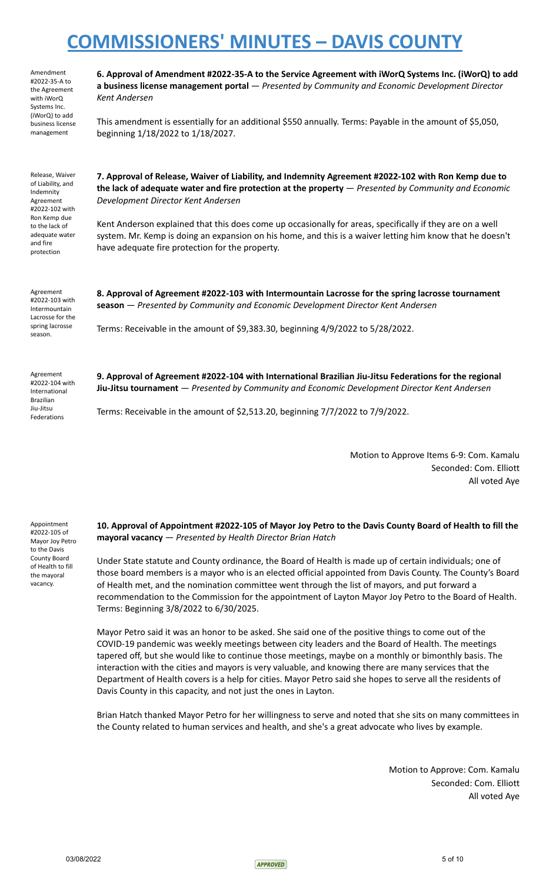#2022-35-A to the Agreement with iWorQ Systems Inc. (iWorQ) to add business license management **a business license management portal** — *Presented by Community and Economic Development Director Kent Andersen* This amendment is essentially for an additional \$550 annually. Terms: Payable in the amount of \$5,050, beginning 1/18/2022 to 1/18/2027. Release, Waiver of Liability, and Indemnity Agreement #2022-102 with

Amendment

**7. Approval of Release, Waiver of Liability, and Indemnity Agreement #2022-102 with Ron Kemp due to the lack of adequate water and fire protection at the property** — *Presented by Community and Economic Development Director Kent Andersen*

**6. Approval of Amendment #2022-35-A to the Service Agreement with iWorQ Systems Inc. (iWorQ) to add**

Kent Anderson explained that this does come up occasionally for areas, specifically if they are on a well system. Mr. Kemp is doing an expansion on his home, and this is a waiver letting him know that he doesn't have adequate fire protection for the property.

Agreement #2022-103 with Intermountain Lacrosse for the spring lacrosse season.

Ron Kemp due to the lack of adequate water and fire protection

> **8. Approval of Agreement #2022-103 with Intermountain Lacrosse for the spring lacrosse tournament season** — *Presented by Community and Economic Development Director Kent Andersen*

Terms: Receivable in the amount of \$9,383.30, beginning 4/9/2022 to 5/28/2022.

Agreement #2022-104 with International Brazilian Jiu-Jitsu Federations

**9. Approval of Agreement #2022-104 with International Brazilian Jiu-Jitsu Federations for the regional Jiu-Jitsu tournament** — *Presented by Community and Economic Development Director Kent Andersen*

Terms: Receivable in the amount of \$2,513.20, beginning 7/7/2022 to 7/9/2022.

Motion to Approve Items 6-9: Com. Kamalu Seconded: Com. Elliott All voted Aye

Appointment #2022-105 of Mayor Joy Petro to the Davis County Board of Health to fill the mayoral vacancy.

10. Approval of Appointment #2022-105 of Mayor Joy Petro to the Davis County Board of Health to fill the **mayoral vacancy** — *Presented by Health Director Brian Hatch*

Under State statute and County ordinance, the Board of Health is made up of certain individuals; one of those board members is a mayor who is an elected official appointed from Davis County. The County's Board of Health met, and the nomination committee went through the list of mayors, and put forward a recommendation to the Commission for the appointment of Layton Mayor Joy Petro to the Board of Health. Terms: Beginning 3/8/2022 to 6/30/2025.

Mayor Petro said it was an honor to be asked. She said one of the positive things to come out of the COVID-19 pandemic was weekly meetings between city leaders and the Board of Health. The meetings tapered off, but she would like to continue those meetings, maybe on a monthly or bimonthly basis. The interaction with the cities and mayors is very valuable, and knowing there are many services that the Department of Health covers is a help for cities. Mayor Petro said she hopes to serve all the residents of Davis County in this capacity, and not just the ones in Layton.

Brian Hatch thanked Mayor Petro for her willingness to serve and noted that she sits on many committees in the County related to human services and health, and she's a great advocate who lives by example.

> Motion to Approve: Com. Kamalu Seconded: Com. Elliott All voted Aye

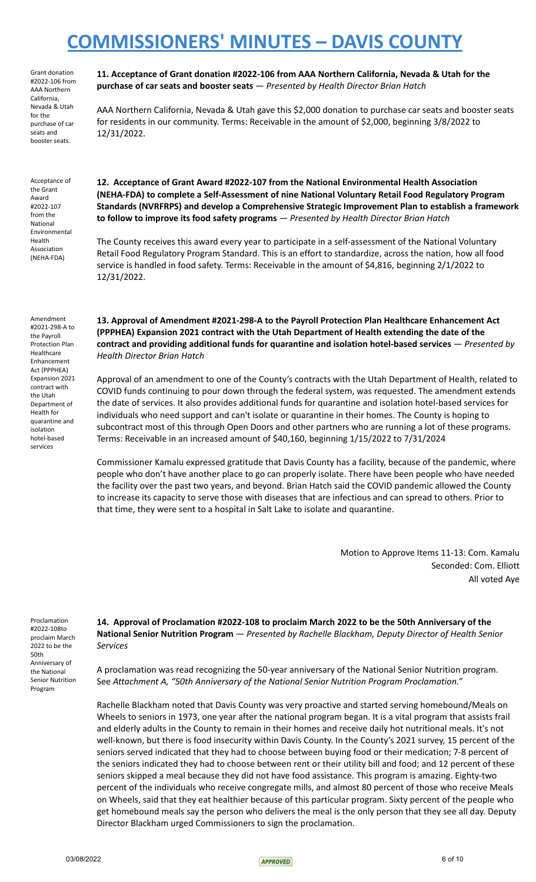Grant donation #2022-106 from AAA Northern California, Nevada & Utah for the purchase of car seats and booster seats.

Acceptance of the Grant Award #2022-107 from the National Environmental Health Association (NEHA-FDA)

Amendment #2021-298-A to the Payroll Protection Plan Healthcare Enhancement Act (PPPHEA) Expansion 2021 contract with the Utah Department of Health for quarantine and isolation hotel-based services

**11. Acceptance of Grant donation #2022-106 from AAA Northern California, Nevada & Utah for the purchase of car seats and booster seats** — *Presented by Health Director Brian Hatch*

AAA Northern California, Nevada & Utah gave this \$2,000 donation to purchase car seats and booster seats for residents in our community. Terms: Receivable in the amount of \$2,000, beginning 3/8/2022 to 12/31/2022.

**12. Acceptance of Grant Award #2022-107 from the National Environmental Health Association (NEHA-FDA) to complete a Self-Assessment of nine National Voluntary Retail Food Regulatory Program Standards (NVRFRPS) and develop a Comprehensive Strategic Improvement Plan to establish a framework to follow to improve its food safety programs** — *Presented by Health Director Brian Hatch*

The County receives this award every year to participate in a self-assessment of the National Voluntary Retail Food Regulatory Program Standard. This is an effort to standardize, across the nation, how all food service is handled in food safety. Terms: Receivable in the amount of \$4,816, beginning 2/1/2022 to 12/31/2022.

**13. Approval of Amendment #2021-298-A to the Payroll Protection Plan Healthcare Enhancement Act (PPPHEA) Expansion 2021 contract with the Utah Department of Health extending the date of the contract and providing additional funds for quarantine and isolation hotel-based services** — *Presented by Health Director Brian Hatch*

Approval of an amendment to one of the County's contracts with the Utah Department of Health, related to COVID funds continuing to pour down through the federal system, was requested. The amendment extends the date of services. It also provides additional funds for quarantine and isolation hotel-based services for individuals who need support and can't isolate or quarantine in their homes. The County is hoping to subcontract most of this through Open Doors and other partners who are running a lot of these programs. Terms: Receivable in an increased amount of \$40,160, beginning 1/15/2022 to 7/31/2024

Commissioner Kamalu expressed gratitude that Davis County has a facility, because of the pandemic, where people who don't have another place to go can properly isolate. There have been people who have needed the facility over the past two years, and beyond. Brian Hatch said the COVID pandemic allowed the County to increase its capacity to serve those with diseases that are infectious and can spread to others. Prior to that time, they were sent to a hospital in Salt Lake to isolate and quarantine.

> Motion to Approve Items 11-13: Com. Kamalu Seconded: Com. Elliott All voted Aye

Proclamation #2022-108to proclaim March 2022 to be the 50th Anniversary of the National Senior Nutrition Program

**14. Approval of Proclamation #2022-108 to proclaim March 2022 to be the 50th Anniversary of the National Senior Nutrition Program** — *Presented by Rachelle Blackham, Deputy Director of Health Senior Services*

A proclamation was read recognizing the 50-year anniversary of the National Senior Nutrition program. See *Attachment A, "50th Anniversary of the National Senior Nutrition Program Proclamation."*

Rachelle Blackham noted that Davis County was very proactive and started serving homebound/Meals on Wheels to seniors in 1973, one year after the national program began. It is a vital program that assists frail and elderly adults in the County to remain in their homes and receive daily hot nutritional meals. It's not well-known, but there is food insecurity within Davis County. In the County's 2021 survey, 15 percent of the seniors served indicated that they had to choose between buying food or their medication; 7-8 percent of the seniors indicated they had to choose between rent or their utility bill and food; and 12 percent of these seniors skipped a meal because they did not have food assistance. This program is amazing. Eighty-two percent of the individuals who receive congregate mills, and almost 80 percent of those who receive Meals on Wheels, said that they eat healthier because of this particular program. Sixty percent of the people who get homebound meals say the person who delivers the meal is the only person that they see all day. Deputy Director Blackham urged Commissioners to sign the proclamation.

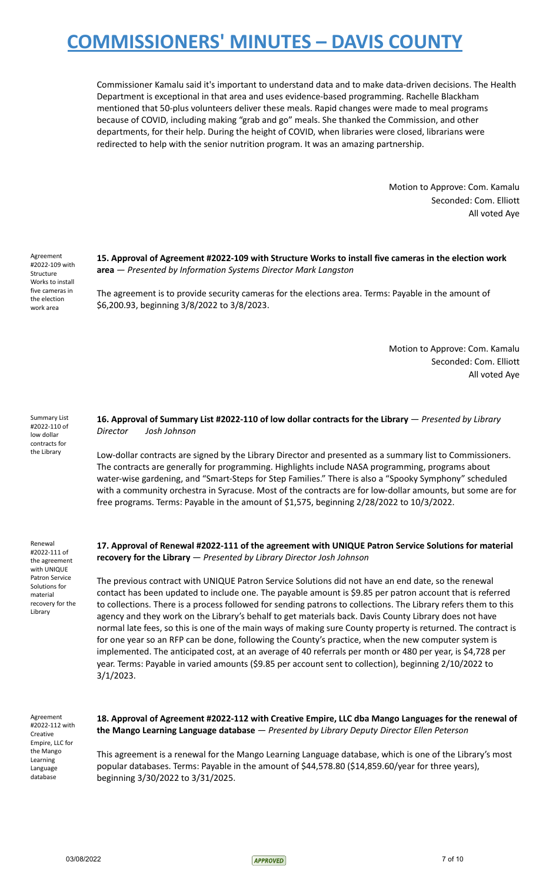Commissioner Kamalu said it's important to understand data and to make data-driven decisions. The Health Department is exceptional in that area and uses evidence-based programming. Rachelle Blackham mentioned that 50-plus volunteers deliver these meals. Rapid changes were made to meal programs because of COVID, including making "grab and go" meals. She thanked the Commission, and other departments, for their help. During the height of COVID, when libraries were closed, librarians were redirected to help with the senior nutrition program. It was an amazing partnership.

> Motion to Approve: Com. Kamalu Seconded: Com. Elliott All voted Aye

Agreement #2022-109 with Structure Works to install five cameras in the election work area

**15. Approval of Agreement #2022-109 with Structure Works to install five cameras in the election work area** — *Presented by Information Systems Director Mark Langston*

The agreement is to provide security cameras for the elections area. Terms: Payable in the amount of \$6,200.93, beginning 3/8/2022 to 3/8/2023.

> Motion to Approve: Com. Kamalu Seconded: Com. Elliott All voted Aye

Summary List #2022-110 of low dollar contracts for the Library

**16. Approval of Summary List #2022-110 of low dollar contracts for the Library** — *Presented by Library Director Josh Johnson*

Low-dollar contracts are signed by the Library Director and presented as a summary list to Commissioners. The contracts are generally for programming. Highlights include NASA programming, programs about water-wise gardening, and "Smart-Steps for Step Families." There is also a "Spooky Symphony" scheduled with a community orchestra in Syracuse. Most of the contracts are for low-dollar amounts, but some are for free programs. Terms: Payable in the amount of \$1,575, beginning 2/28/2022 to 10/3/2022.

Renewal #2022-111 of the agreement with UNIQUE Patron Service Solutions for material recovery for the Library

**17. Approval of Renewal #2022-111 of the agreement with UNIQUE Patron Service Solutions for material recovery for the Library** — *Presented by Library Director Josh Johnson*

The previous contract with UNIQUE Patron Service Solutions did not have an end date, so the renewal contact has been updated to include one. The payable amount is \$9.85 per patron account that is referred to collections. There is a process followed for sending patrons to collections. The Library refers them to this agency and they work on the Library's behalf to get materials back. Davis County Library does not have normal late fees, so this is one of the main ways of making sure County property is returned. The contract is for one year so an RFP can be done, following the County's practice, when the new computer system is implemented. The anticipated cost, at an average of 40 referrals per month or 480 per year, is \$4,728 per year. Terms: Payable in varied amounts (\$9.85 per account sent to collection), beginning 2/10/2022 to 3/1/2023.

Agreement #2022-112 with Creative Empire, LLC for the Mango Learning Language database

**18. Approval of Agreement #2022-112 with Creative Empire, LLC dba Mango Languages for the renewal of the Mango Learning Language database** — *Presented by Library Deputy Director Ellen Peterson*

This agreement is a renewal for the Mango Learning Language database, which is one of the Library's most popular databases. Terms: Payable in the amount of \$44,578.80 (\$14,859.60/year for three years), beginning 3/30/2022 to 3/31/2025.

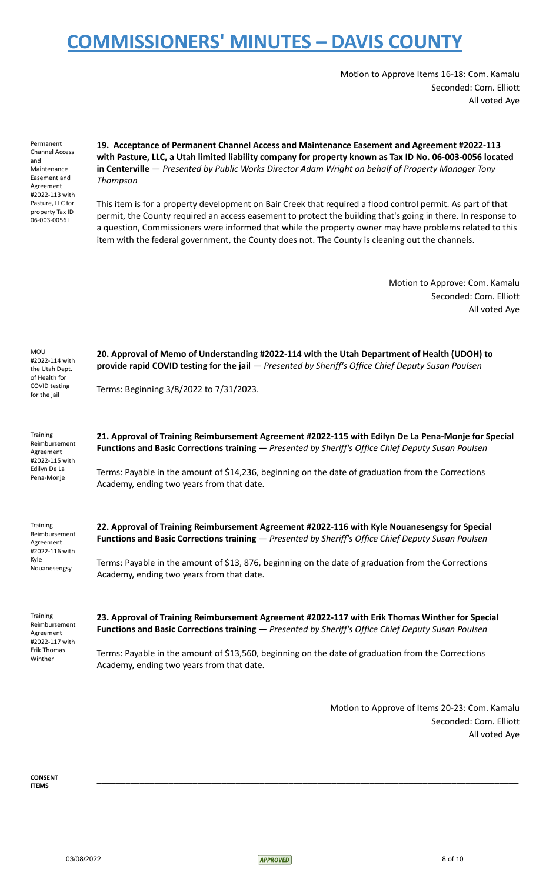Motion to Approve Items 16-18: Com. Kamalu Seconded: Com. Elliott All voted Aye

Permanent Channel Access and Maintenance Easement and Agreement #2022-113 with Pasture, LLC for property Tax ID 06-003-0056 l

**19. Acceptance of Permanent Channel Access and Maintenance Easement and Agreement #2022-113 with Pasture, LLC, a Utah limited liability company for property known as Tax ID No. 06-003-0056 located in Centerville** — *Presented by Public Works Director Adam Wright on behalf of Property Manager Tony Thompson*

This item is for a property development on Bair Creek that required a flood control permit. As part of that permit, the County required an access easement to protect the building that's going in there. In response to a question, Commissioners were informed that while the property owner may have problems related to this item with the federal government, the County does not. The County is cleaning out the channels.

> Motion to Approve: Com. Kamalu Seconded: Com. Elliott All voted Aye

| MOU<br>#2022-114 with<br>the Utah Dept.<br>of Health for<br>COVID testing<br>for the jail | 20. Approval of Memo of Understanding #2022-114 with the Utah Department of Health (UDOH) to<br>provide rapid COVID testing for the jail - Presented by Sheriff's Office Chief Deputy Susan Poulsen        |
|-------------------------------------------------------------------------------------------|------------------------------------------------------------------------------------------------------------------------------------------------------------------------------------------------------------|
|                                                                                           | Terms: Beginning 3/8/2022 to 7/31/2023.                                                                                                                                                                    |
| Training<br>Reimbursement<br>Agreement<br>#2022-115 with<br>Edilyn De La<br>Pena-Monje    | 21. Approval of Training Reimbursement Agreement #2022-115 with Edilyn De La Pena-Monje for Special<br>Functions and Basic Corrections training - Presented by Sheriff's Office Chief Deputy Susan Poulsen |
|                                                                                           | Terms: Payable in the amount of \$14,236, beginning on the date of graduation from the Corrections<br>Academy, ending two years from that date.                                                            |
| <b>Training</b><br>Reimbursement<br>Agreement<br>#2022-116 with<br>Kyle<br>Nouanesengsy   | 22. Approval of Training Reimbursement Agreement #2022-116 with Kyle Nouanesengsy for Special<br>Functions and Basic Corrections training - Presented by Sheriff's Office Chief Deputy Susan Poulsen       |
|                                                                                           | Terms: Payable in the amount of \$13, 876, beginning on the date of graduation from the Corrections<br>Academy, ending two years from that date.                                                           |
| Training<br>Reimbursement<br>Agreement<br>#2022-117 with                                  | 23. Approval of Training Reimbursement Agreement #2022-117 with Erik Thomas Winther for Special<br>Functions and Basic Corrections training - Presented by Sheriff's Office Chief Deputy Susan Poulsen     |
| <b>Erik Thomas</b><br>Winther                                                             | Terms: Payable in the amount of \$13,560, beginning on the date of graduation from the Corrections<br>Academy, ending two years from that date.                                                            |

Motion to Approve of Items 20-23: Com. Kamalu Seconded: Com. Elliott All voted Aye

**CONSENT ITEMS**



**\_\_\_\_\_\_\_\_\_\_\_\_\_\_\_\_\_\_\_\_\_\_\_\_\_\_\_\_\_\_\_\_\_\_\_\_\_\_\_\_\_\_\_\_\_\_\_\_\_\_\_\_\_\_\_\_\_\_\_\_\_\_\_\_\_\_\_\_\_\_\_\_\_\_\_\_\_\_\_\_\_\_\_\_\_\_\_\_**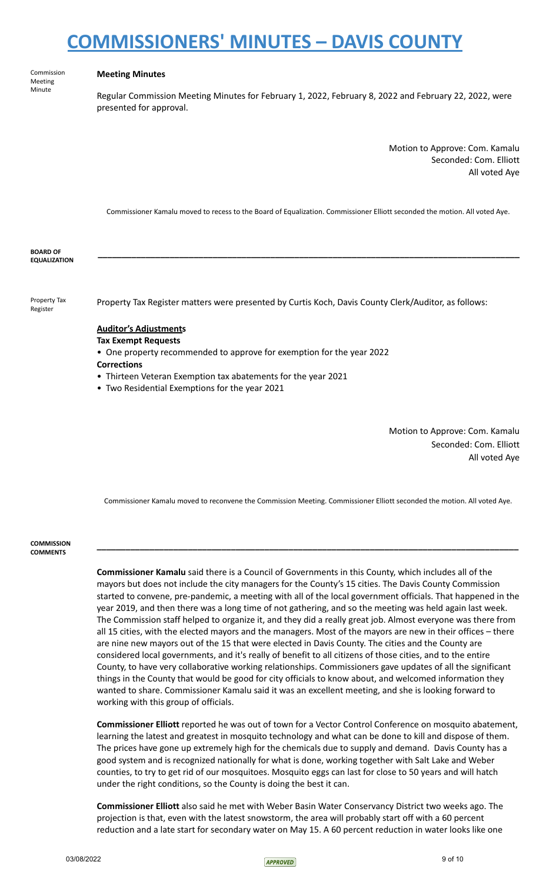Commission Meeting Minute

#### **Meeting Minutes**

Regular Commission Meeting Minutes for February 1, 2022, February 8, 2022 and February 22, 2022, were presented for approval.

> Motion to Approve: Com. Kamalu Seconded: Com. Elliott All voted Aye

Commissioner Kamalu moved to recess to the Board of Equalization. Commissioner Elliott seconded the motion. All voted Aye.

**\_\_\_\_\_\_\_\_\_\_\_\_\_\_\_\_\_\_\_\_\_\_\_\_\_\_\_\_\_\_\_\_\_\_\_\_\_\_\_\_\_\_\_\_\_\_\_\_\_\_\_\_\_\_\_\_\_\_\_\_\_\_\_\_\_\_\_\_\_\_\_\_\_\_\_\_\_\_\_\_\_\_\_\_\_\_\_\_**

**BOARD OF EQUALIZATION**

Property Tax Register

Property Tax Register matters were presented by Curtis Koch, Davis County Clerk/Auditor, as follows:

### **Auditor's Adjustments Tax Exempt Requests**

- One property recommended to approve for exemption for the year 2022
- **Corrections**
- Thirteen Veteran Exemption tax abatements for the year 2021
- Two Residential Exemptions for the year 2021

Motion to Approve: Com. Kamalu Seconded: Com. Elliott All voted Aye

Commissioner Kamalu moved to reconvene the Commission Meeting. Commissioner Elliott seconded the motion. All voted Aye.

**\_\_\_\_\_\_\_\_\_\_\_\_\_\_\_\_\_\_\_\_\_\_\_\_\_\_\_\_\_\_\_\_\_\_\_\_\_\_\_\_\_\_\_\_\_\_\_\_\_\_\_\_\_\_\_\_\_\_\_\_\_\_\_\_\_\_\_\_\_\_\_\_\_\_\_\_\_\_\_\_\_\_\_\_\_\_\_\_**

#### **COMMISSION COMMENTS**

**Commissioner Kamalu** said there is a Council of Governments in this County, which includes all of the mayors but does not include the city managers for the County's 15 cities. The Davis County Commission started to convene, pre-pandemic, a meeting with all of the local government officials. That happened in the year 2019, and then there was a long time of not gathering, and so the meeting was held again last week. The Commission staff helped to organize it, and they did a really great job. Almost everyone was there from all 15 cities, with the elected mayors and the managers. Most of the mayors are new in their offices – there are nine new mayors out of the 15 that were elected in Davis County. The cities and the County are considered local governments, and it's really of benefit to all citizens of those cities, and to the entire County, to have very collaborative working relationships. Commissioners gave updates of all the significant things in the County that would be good for city officials to know about, and welcomed information they wanted to share. Commissioner Kamalu said it was an excellent meeting, and she is looking forward to working with this group of officials.

**Commissioner Elliott** reported he was out of town for a Vector Control Conference on mosquito abatement, learning the latest and greatest in mosquito technology and what can be done to kill and dispose of them. The prices have gone up extremely high for the chemicals due to supply and demand. Davis County has a good system and is recognized nationally for what is done, working together with Salt Lake and Weber counties, to try to get rid of our mosquitoes. Mosquito eggs can last for close to 50 years and will hatch under the right conditions, so the County is doing the best it can.

**Commissioner Elliott** also said he met with Weber Basin Water Conservancy District two weeks ago. The projection is that, even with the latest snowstorm, the area will probably start off with a 60 percent reduction and a late start for secondary water on May 15. A 60 percent reduction in water looks like one